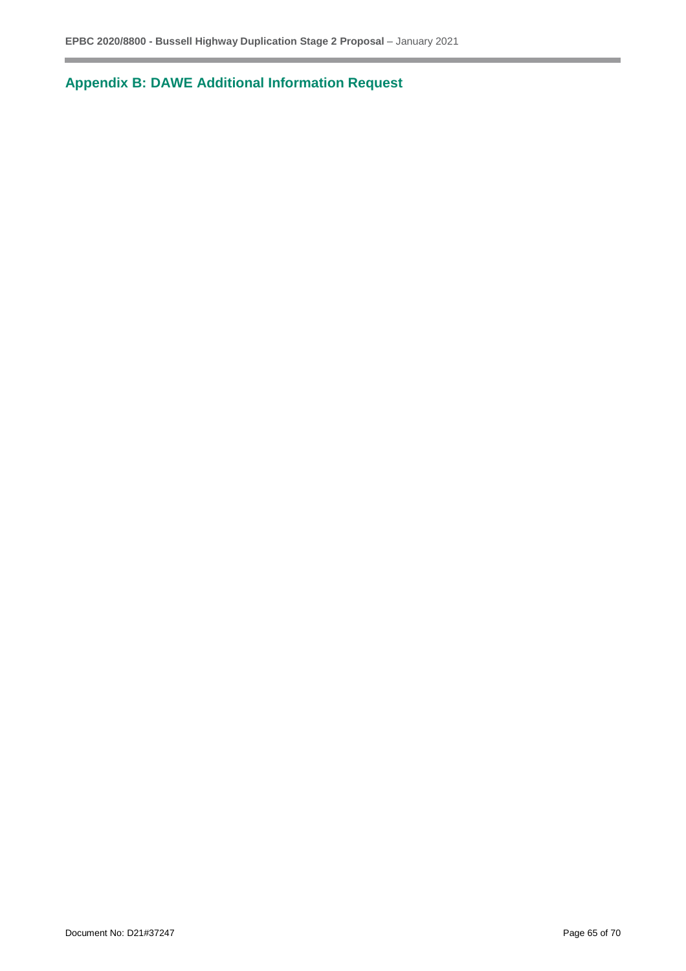**Appendix B: DAWE Additional Information Request**

г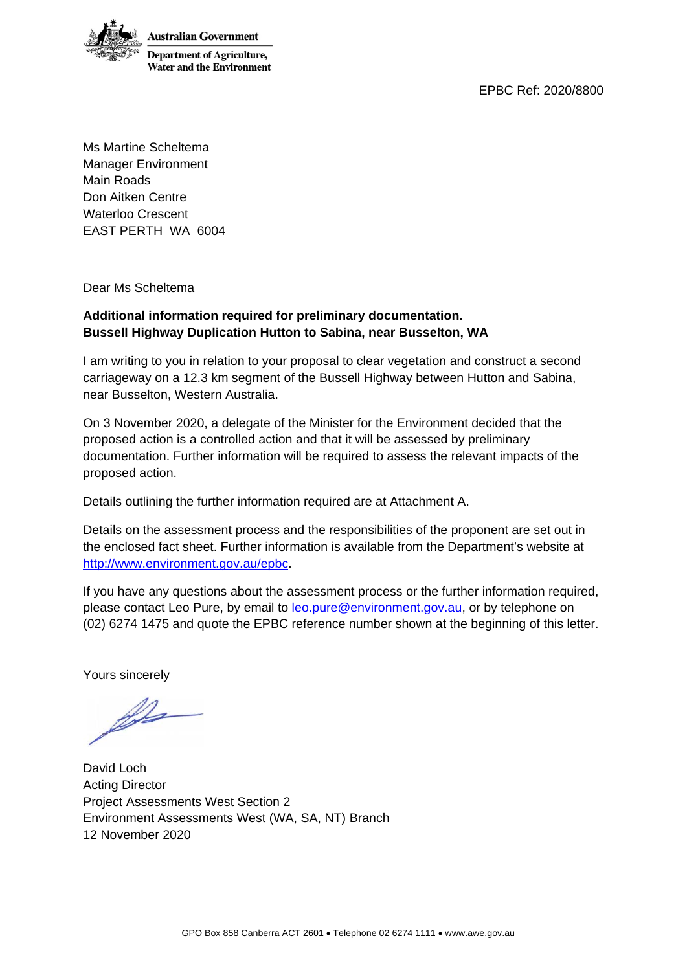EPBC Ref: 2020/8800



Ms Martine Scheltema Manager Environment Main Roads Don Aitken Centre Waterloo Crescent EAST PERTH WA 6004

Dear Ms Scheltema

## **Additional information required for preliminary documentation. Bussell Highway Duplication Hutton to Sabina, near Busselton, WA**

I am writing to you in relation to your proposal to clear vegetation and construct a second carriageway on a 12.3 km segment of the Bussell Highway between Hutton and Sabina, near Busselton, Western Australia.

On 3 November 2020, a delegate of the Minister for the Environment decided that the proposed action is a controlled action and that it will be assessed by preliminary documentation. Further information will be required to assess the relevant impacts of the proposed action.

Details outlining the further information required are at Attachment A.

Details on the assessment process and the responsibilities of the proponent are set out in the enclosed fact sheet. Further information is available from the Department's website at [http://www.environment.gov.au/epbc.](http://www.environment.gov.au/epbc)

If you have any questions about the assessment process or the further information required, please contact Leo Pure, by email to [leo.pure@environment.gov.au,](mailto:leo.pure@environment.gov.au) or by telephone on (02) 6274 1475 and quote the EPBC reference number shown at the beginning of this letter.

Yours sincerely

fre

David Loch Acting Director Project Assessments West Section 2 Environment Assessments West (WA, SA, NT) Branch 12 November 2020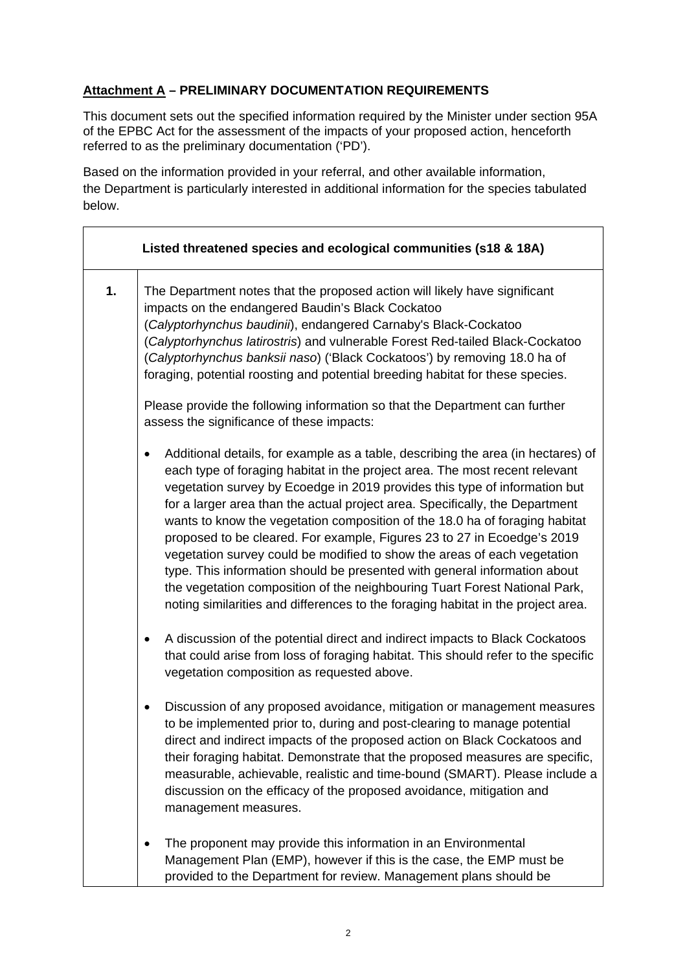## **Attachment A – PRELIMINARY DOCUMENTATION REQUIREMENTS**

This document sets out the specified information required by the Minister under section 95A of the EPBC Act for the assessment of the impacts of your proposed action, henceforth referred to as the preliminary documentation ('PD').

Based on the information provided in your referral, and other available information, the Department is particularly interested in additional information for the species tabulated below.

|    | Listed threatened species and ecological communities (s18 & 18A)                                                                                                                                                                                                                                                                                                                                                                                                                                                                                                                                                                                                                                                                                                                                                        |
|----|-------------------------------------------------------------------------------------------------------------------------------------------------------------------------------------------------------------------------------------------------------------------------------------------------------------------------------------------------------------------------------------------------------------------------------------------------------------------------------------------------------------------------------------------------------------------------------------------------------------------------------------------------------------------------------------------------------------------------------------------------------------------------------------------------------------------------|
| 1. | The Department notes that the proposed action will likely have significant<br>impacts on the endangered Baudin's Black Cockatoo<br>(Calyptorhynchus baudinii), endangered Carnaby's Black-Cockatoo<br>(Calyptorhynchus latirostris) and vulnerable Forest Red-tailed Black-Cockatoo<br>(Calyptorhynchus banksii naso) ('Black Cockatoos') by removing 18.0 ha of<br>foraging, potential roosting and potential breeding habitat for these species.                                                                                                                                                                                                                                                                                                                                                                      |
|    | Please provide the following information so that the Department can further<br>assess the significance of these impacts:                                                                                                                                                                                                                                                                                                                                                                                                                                                                                                                                                                                                                                                                                                |
|    | Additional details, for example as a table, describing the area (in hectares) of<br>٠<br>each type of foraging habitat in the project area. The most recent relevant<br>vegetation survey by Ecoedge in 2019 provides this type of information but<br>for a larger area than the actual project area. Specifically, the Department<br>wants to know the vegetation composition of the 18.0 ha of foraging habitat<br>proposed to be cleared. For example, Figures 23 to 27 in Ecoedge's 2019<br>vegetation survey could be modified to show the areas of each vegetation<br>type. This information should be presented with general information about<br>the vegetation composition of the neighbouring Tuart Forest National Park,<br>noting similarities and differences to the foraging habitat in the project area. |
|    | A discussion of the potential direct and indirect impacts to Black Cockatoos<br>٠<br>that could arise from loss of foraging habitat. This should refer to the specific<br>vegetation composition as requested above.                                                                                                                                                                                                                                                                                                                                                                                                                                                                                                                                                                                                    |
|    | Discussion of any proposed avoidance, mitigation or management measures<br>to be implemented prior to, during and post-clearing to manage potential<br>direct and indirect impacts of the proposed action on Black Cockatoos and<br>their foraging habitat. Demonstrate that the proposed measures are specific,<br>measurable, achievable, realistic and time-bound (SMART). Please include a<br>discussion on the efficacy of the proposed avoidance, mitigation and<br>management measures.                                                                                                                                                                                                                                                                                                                          |
|    | The proponent may provide this information in an Environmental<br>٠<br>Management Plan (EMP), however if this is the case, the EMP must be<br>provided to the Department for review. Management plans should be                                                                                                                                                                                                                                                                                                                                                                                                                                                                                                                                                                                                         |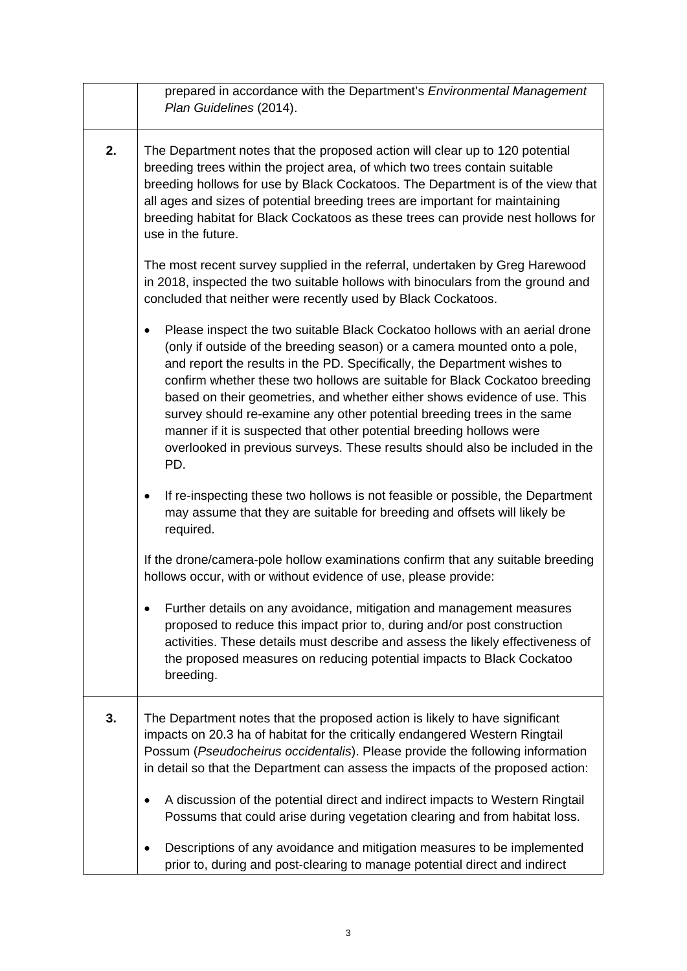|    | prepared in accordance with the Department's Environmental Management<br>Plan Guidelines (2014).                                                                                                                                                                                                                                                                                                                                                                                                                                                                                                                                          |
|----|-------------------------------------------------------------------------------------------------------------------------------------------------------------------------------------------------------------------------------------------------------------------------------------------------------------------------------------------------------------------------------------------------------------------------------------------------------------------------------------------------------------------------------------------------------------------------------------------------------------------------------------------|
| 2. | The Department notes that the proposed action will clear up to 120 potential<br>breeding trees within the project area, of which two trees contain suitable<br>breeding hollows for use by Black Cockatoos. The Department is of the view that<br>all ages and sizes of potential breeding trees are important for maintaining<br>breeding habitat for Black Cockatoos as these trees can provide nest hollows for<br>use in the future.                                                                                                                                                                                                  |
|    | The most recent survey supplied in the referral, undertaken by Greg Harewood<br>in 2018, inspected the two suitable hollows with binoculars from the ground and<br>concluded that neither were recently used by Black Cockatoos.                                                                                                                                                                                                                                                                                                                                                                                                          |
|    | Please inspect the two suitable Black Cockatoo hollows with an aerial drone<br>(only if outside of the breeding season) or a camera mounted onto a pole,<br>and report the results in the PD. Specifically, the Department wishes to<br>confirm whether these two hollows are suitable for Black Cockatoo breeding<br>based on their geometries, and whether either shows evidence of use. This<br>survey should re-examine any other potential breeding trees in the same<br>manner if it is suspected that other potential breeding hollows were<br>overlooked in previous surveys. These results should also be included in the<br>PD. |
|    | If re-inspecting these two hollows is not feasible or possible, the Department<br>may assume that they are suitable for breeding and offsets will likely be<br>required.                                                                                                                                                                                                                                                                                                                                                                                                                                                                  |
|    | If the drone/camera-pole hollow examinations confirm that any suitable breeding<br>hollows occur, with or without evidence of use, please provide:                                                                                                                                                                                                                                                                                                                                                                                                                                                                                        |
|    | Further details on any avoidance, mitigation and management measures<br>proposed to reduce this impact prior to, during and/or post construction<br>activities. These details must describe and assess the likely effectiveness of<br>the proposed measures on reducing potential impacts to Black Cockatoo<br>breeding.                                                                                                                                                                                                                                                                                                                  |
| 3. | The Department notes that the proposed action is likely to have significant<br>impacts on 20.3 ha of habitat for the critically endangered Western Ringtail<br>Possum (Pseudocheirus occidentalis). Please provide the following information<br>in detail so that the Department can assess the impacts of the proposed action:                                                                                                                                                                                                                                                                                                           |
|    | A discussion of the potential direct and indirect impacts to Western Ringtail<br>Possums that could arise during vegetation clearing and from habitat loss.                                                                                                                                                                                                                                                                                                                                                                                                                                                                               |
|    | Descriptions of any avoidance and mitigation measures to be implemented<br>prior to, during and post-clearing to manage potential direct and indirect                                                                                                                                                                                                                                                                                                                                                                                                                                                                                     |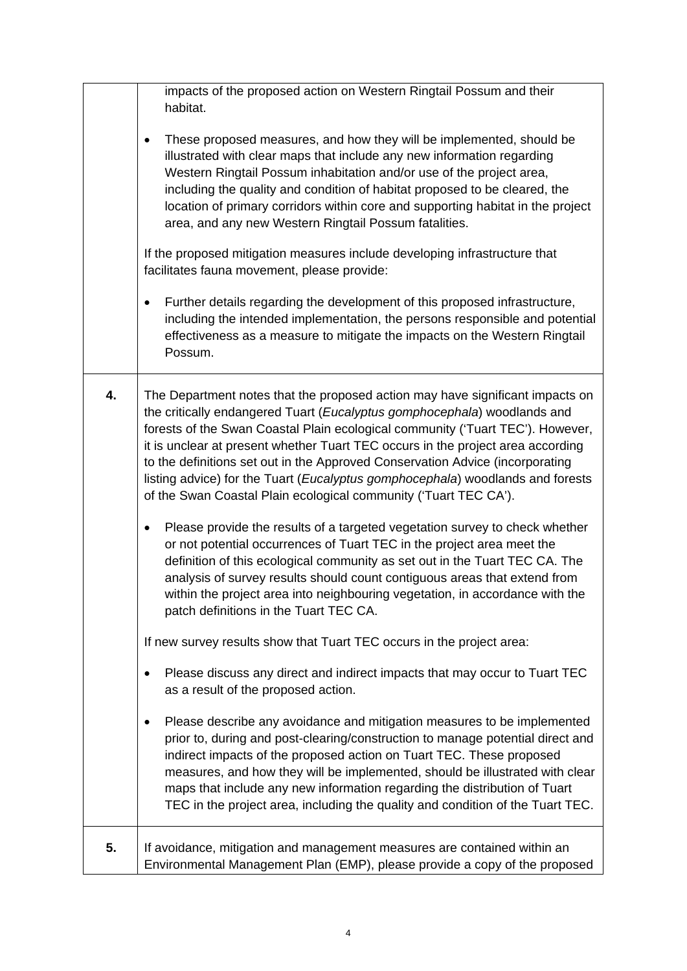|    | impacts of the proposed action on Western Ringtail Possum and their<br>habitat.                                                                                                                                                                                                                                                                                                                                                                                                                                                                                       |
|----|-----------------------------------------------------------------------------------------------------------------------------------------------------------------------------------------------------------------------------------------------------------------------------------------------------------------------------------------------------------------------------------------------------------------------------------------------------------------------------------------------------------------------------------------------------------------------|
|    | These proposed measures, and how they will be implemented, should be<br>$\bullet$<br>illustrated with clear maps that include any new information regarding<br>Western Ringtail Possum inhabitation and/or use of the project area,<br>including the quality and condition of habitat proposed to be cleared, the<br>location of primary corridors within core and supporting habitat in the project<br>area, and any new Western Ringtail Possum fatalities.                                                                                                         |
|    | If the proposed mitigation measures include developing infrastructure that<br>facilitates fauna movement, please provide:                                                                                                                                                                                                                                                                                                                                                                                                                                             |
|    | Further details regarding the development of this proposed infrastructure,<br>including the intended implementation, the persons responsible and potential<br>effectiveness as a measure to mitigate the impacts on the Western Ringtail<br>Possum.                                                                                                                                                                                                                                                                                                                   |
| 4. | The Department notes that the proposed action may have significant impacts on<br>the critically endangered Tuart (Eucalyptus gomphocephala) woodlands and<br>forests of the Swan Coastal Plain ecological community ('Tuart TEC'). However,<br>it is unclear at present whether Tuart TEC occurs in the project area according<br>to the definitions set out in the Approved Conservation Advice (incorporating<br>listing advice) for the Tuart (Eucalyptus gomphocephala) woodlands and forests<br>of the Swan Coastal Plain ecological community ('Tuart TEC CA'). |
|    | Please provide the results of a targeted vegetation survey to check whether<br>٠<br>or not potential occurrences of Tuart TEC in the project area meet the<br>definition of this ecological community as set out in the Tuart TEC CA. The<br>analysis of survey results should count contiguous areas that extend from<br>within the project area into neighbouring vegetation, in accordance with the<br>patch definitions in the Tuart TEC CA.                                                                                                                      |
|    | If new survey results show that Tuart TEC occurs in the project area:                                                                                                                                                                                                                                                                                                                                                                                                                                                                                                 |
|    | Please discuss any direct and indirect impacts that may occur to Tuart TEC<br>as a result of the proposed action.                                                                                                                                                                                                                                                                                                                                                                                                                                                     |
|    | Please describe any avoidance and mitigation measures to be implemented<br>prior to, during and post-clearing/construction to manage potential direct and<br>indirect impacts of the proposed action on Tuart TEC. These proposed<br>measures, and how they will be implemented, should be illustrated with clear<br>maps that include any new information regarding the distribution of Tuart<br>TEC in the project area, including the quality and condition of the Tuart TEC.                                                                                      |
| 5. | If avoidance, mitigation and management measures are contained within an<br>Environmental Management Plan (EMP), please provide a copy of the proposed                                                                                                                                                                                                                                                                                                                                                                                                                |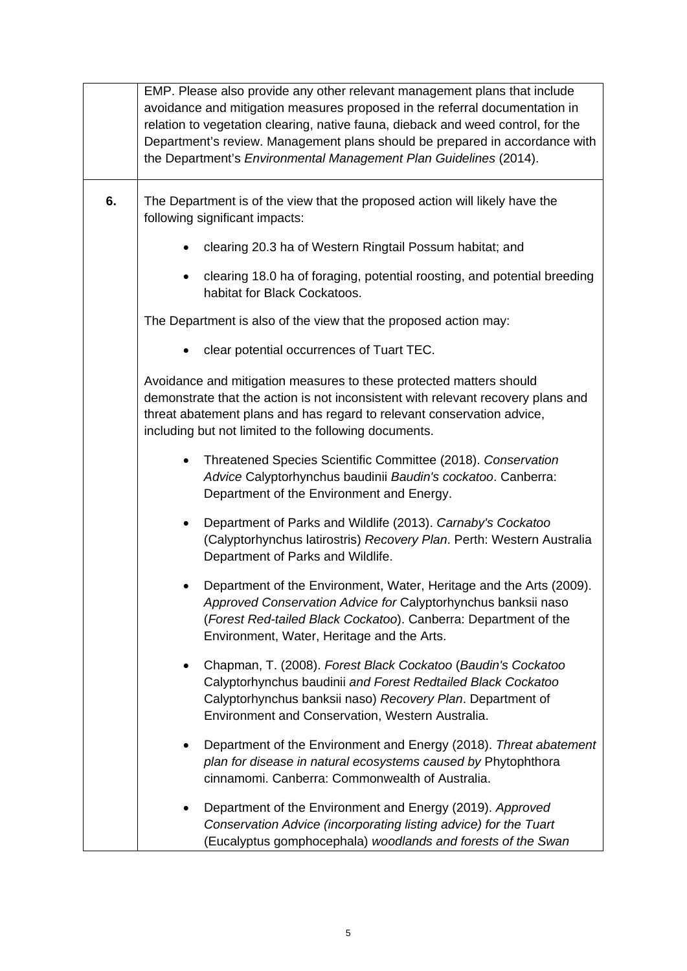|    | EMP. Please also provide any other relevant management plans that include<br>avoidance and mitigation measures proposed in the referral documentation in<br>relation to vegetation clearing, native fauna, dieback and weed control, for the<br>Department's review. Management plans should be prepared in accordance with<br>the Department's Environmental Management Plan Guidelines (2014). |
|----|--------------------------------------------------------------------------------------------------------------------------------------------------------------------------------------------------------------------------------------------------------------------------------------------------------------------------------------------------------------------------------------------------|
| 6. | The Department is of the view that the proposed action will likely have the<br>following significant impacts:                                                                                                                                                                                                                                                                                    |
|    | clearing 20.3 ha of Western Ringtail Possum habitat; and                                                                                                                                                                                                                                                                                                                                         |
|    | clearing 18.0 ha of foraging, potential roosting, and potential breeding<br>habitat for Black Cockatoos.                                                                                                                                                                                                                                                                                         |
|    | The Department is also of the view that the proposed action may:                                                                                                                                                                                                                                                                                                                                 |
|    | clear potential occurrences of Tuart TEC.                                                                                                                                                                                                                                                                                                                                                        |
|    | Avoidance and mitigation measures to these protected matters should<br>demonstrate that the action is not inconsistent with relevant recovery plans and<br>threat abatement plans and has regard to relevant conservation advice,<br>including but not limited to the following documents.                                                                                                       |
|    | Threatened Species Scientific Committee (2018). Conservation<br>Advice Calyptorhynchus baudinii Baudin's cockatoo. Canberra:<br>Department of the Environment and Energy.                                                                                                                                                                                                                        |
|    | Department of Parks and Wildlife (2013). Carnaby's Cockatoo<br>(Calyptorhynchus latirostris) Recovery Plan. Perth: Western Australia<br>Department of Parks and Wildlife.                                                                                                                                                                                                                        |
|    | Department of the Environment, Water, Heritage and the Arts (2009).<br>Approved Conservation Advice for Calyptorhynchus banksii naso<br>(Forest Red-tailed Black Cockatoo). Canberra: Department of the<br>Environment, Water, Heritage and the Arts.                                                                                                                                            |
|    | Chapman, T. (2008). Forest Black Cockatoo (Baudin's Cockatoo<br>Calyptorhynchus baudinii and Forest Redtailed Black Cockatoo<br>Calyptorhynchus banksii naso) Recovery Plan. Department of<br>Environment and Conservation, Western Australia.                                                                                                                                                   |
|    | Department of the Environment and Energy (2018). Threat abatement<br>plan for disease in natural ecosystems caused by Phytophthora<br>cinnamomi. Canberra: Commonwealth of Australia.                                                                                                                                                                                                            |
|    | Department of the Environment and Energy (2019). Approved<br>Conservation Advice (incorporating listing advice) for the Tuart<br>(Eucalyptus gomphocephala) woodlands and forests of the Swan                                                                                                                                                                                                    |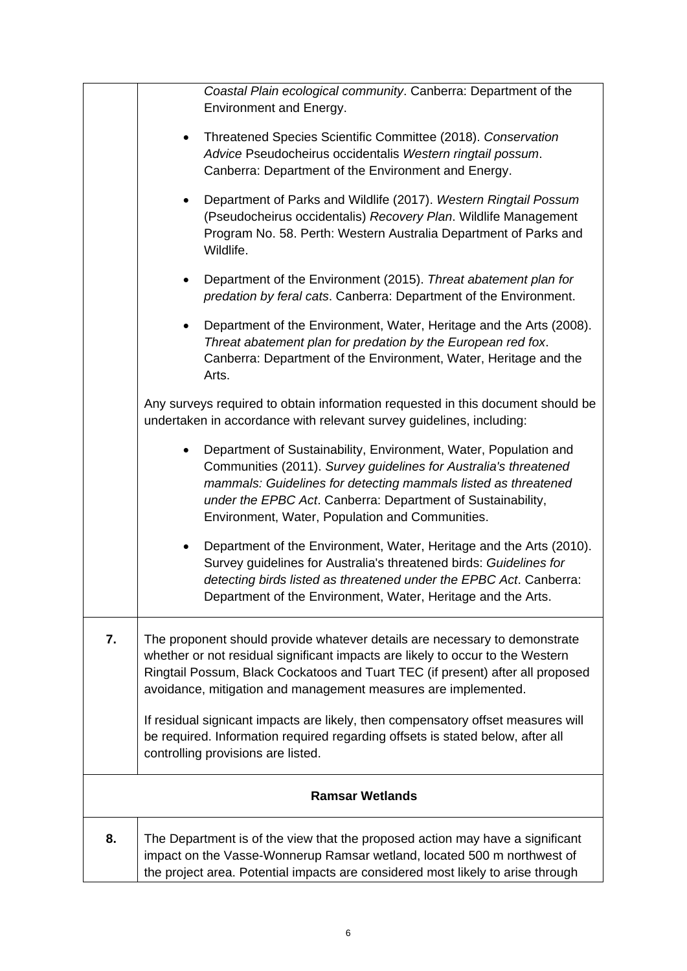|    | Coastal Plain ecological community. Canberra: Department of the<br>Environment and Energy.                                                                                                                                                                                                                                            |
|----|---------------------------------------------------------------------------------------------------------------------------------------------------------------------------------------------------------------------------------------------------------------------------------------------------------------------------------------|
|    | Threatened Species Scientific Committee (2018). Conservation<br>$\bullet$<br>Advice Pseudocheirus occidentalis Western ringtail possum.<br>Canberra: Department of the Environment and Energy.                                                                                                                                        |
|    | Department of Parks and Wildlife (2017). Western Ringtail Possum<br>$\bullet$<br>(Pseudocheirus occidentalis) Recovery Plan. Wildlife Management<br>Program No. 58. Perth: Western Australia Department of Parks and<br>Wildlife.                                                                                                     |
|    | Department of the Environment (2015). Threat abatement plan for<br>$\bullet$<br>predation by feral cats. Canberra: Department of the Environment.                                                                                                                                                                                     |
|    | Department of the Environment, Water, Heritage and the Arts (2008).<br>Threat abatement plan for predation by the European red fox.<br>Canberra: Department of the Environment, Water, Heritage and the<br>Arts.                                                                                                                      |
|    | Any surveys required to obtain information requested in this document should be<br>undertaken in accordance with relevant survey guidelines, including:                                                                                                                                                                               |
|    | Department of Sustainability, Environment, Water, Population and<br>$\bullet$<br>Communities (2011). Survey guidelines for Australia's threatened<br>mammals: Guidelines for detecting mammals listed as threatened<br>under the EPBC Act. Canberra: Department of Sustainability,<br>Environment, Water, Population and Communities. |
|    | Department of the Environment, Water, Heritage and the Arts (2010).<br>$\bullet$<br>Survey guidelines for Australia's threatened birds: Guidelines for<br>detecting birds listed as threatened under the EPBC Act. Canberra:<br>Department of the Environment, Water, Heritage and the Arts.                                          |
| 7. | The proponent should provide whatever details are necessary to demonstrate<br>whether or not residual significant impacts are likely to occur to the Western<br>Ringtail Possum, Black Cockatoos and Tuart TEC (if present) after all proposed<br>avoidance, mitigation and management measures are implemented.                      |
|    | If residual signicant impacts are likely, then compensatory offset measures will<br>be required. Information required regarding offsets is stated below, after all<br>controlling provisions are listed.                                                                                                                              |
|    | <b>Ramsar Wetlands</b>                                                                                                                                                                                                                                                                                                                |
| 8. | The Department is of the view that the proposed action may have a significant<br>impact on the Vasse-Wonnerup Ramsar wetland, located 500 m northwest of<br>the project area. Potential impacts are considered most likely to arise through                                                                                           |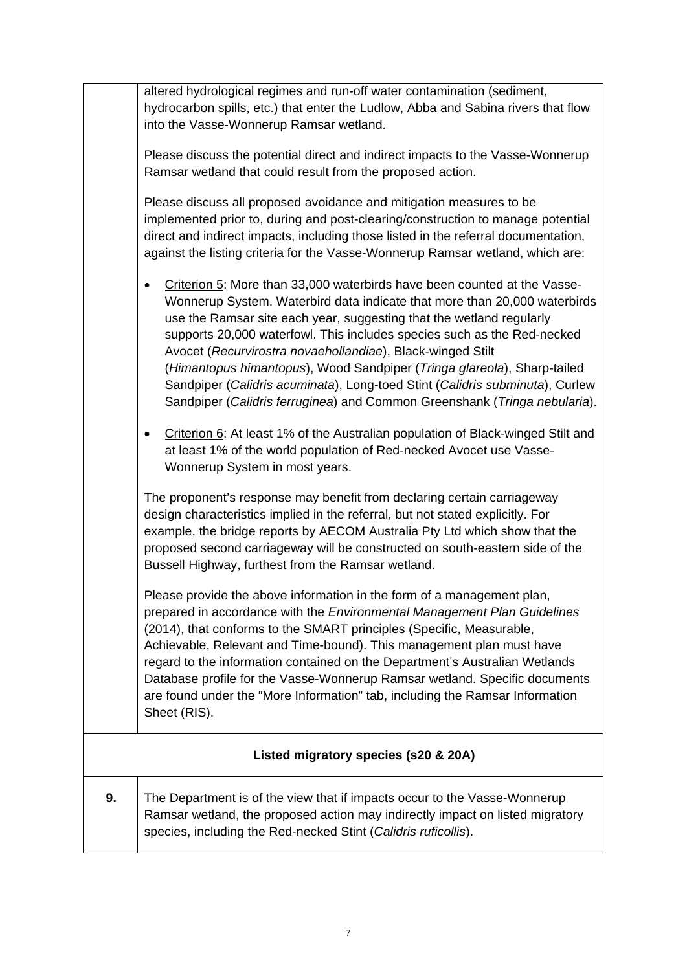|    | altered hydrological regimes and run-off water contamination (sediment,            |
|----|------------------------------------------------------------------------------------|
|    | hydrocarbon spills, etc.) that enter the Ludlow, Abba and Sabina rivers that flow  |
|    | into the Vasse-Wonnerup Ramsar wetland.                                            |
|    |                                                                                    |
|    | Please discuss the potential direct and indirect impacts to the Vasse-Wonnerup     |
|    | Ramsar wetland that could result from the proposed action.                         |
|    |                                                                                    |
|    | Please discuss all proposed avoidance and mitigation measures to be                |
|    | implemented prior to, during and post-clearing/construction to manage potential    |
|    | direct and indirect impacts, including those listed in the referral documentation, |
|    | against the listing criteria for the Vasse-Wonnerup Ramsar wetland, which are:     |
|    | Criterion 5: More than 33,000 waterbirds have been counted at the Vasse-<br>٠      |
|    | Wonnerup System. Waterbird data indicate that more than 20,000 waterbirds          |
|    | use the Ramsar site each year, suggesting that the wetland regularly               |
|    | supports 20,000 waterfowl. This includes species such as the Red-necked            |
|    | Avocet (Recurvirostra novaehollandiae), Black-winged Stilt                         |
|    | (Himantopus himantopus), Wood Sandpiper (Tringa glareola), Sharp-tailed            |
|    | Sandpiper (Calidris acuminata), Long-toed Stint (Calidris subminuta), Curlew       |
|    | Sandpiper (Calidris ferruginea) and Common Greenshank (Tringa nebularia).          |
|    |                                                                                    |
|    | Criterion 6: At least 1% of the Australian population of Black-winged Stilt and    |
|    | at least 1% of the world population of Red-necked Avocet use Vasse-                |
|    | Wonnerup System in most years.                                                     |
|    | The proponent's response may benefit from declaring certain carriageway            |
|    | design characteristics implied in the referral, but not stated explicitly. For     |
|    | example, the bridge reports by AECOM Australia Pty Ltd which show that the         |
|    | proposed second carriageway will be constructed on south-eastern side of the       |
|    | Bussell Highway, furthest from the Ramsar wetland.                                 |
|    |                                                                                    |
|    | Please provide the above information in the form of a management plan.             |
|    | prepared in accordance with the Environmental Management Plan Guidelines           |
|    | (2014), that conforms to the SMART principles (Specific, Measurable,               |
|    | Achievable, Relevant and Time-bound). This management plan must have               |
|    | regard to the information contained on the Department's Australian Wetlands        |
|    | Database profile for the Vasse-Wonnerup Ramsar wetland. Specific documents         |
|    | are found under the "More Information" tab, including the Ramsar Information       |
|    | Sheet (RIS).                                                                       |
|    |                                                                                    |
|    | Listed migratory species (s20 & 20A)                                               |
| 9. | The Department is of the view that if impacts occur to the Vasse-Wonnerup          |
|    | Ramsar wetland, the proposed action may indirectly impact on listed migratory      |
|    | species, including the Red-necked Stint (Calidris ruficollis).                     |
|    |                                                                                    |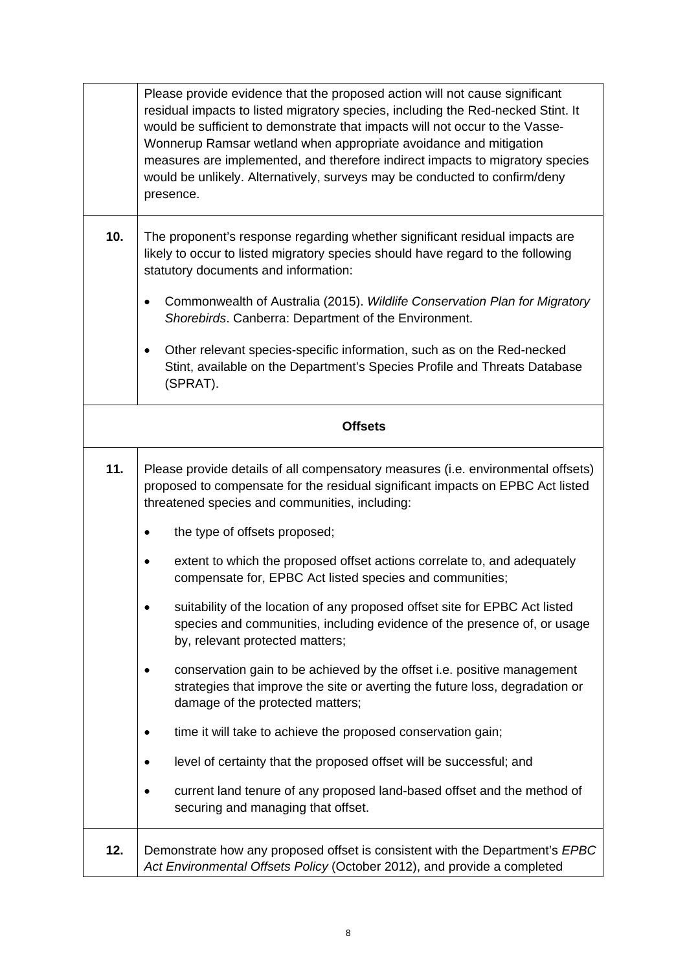|                | Please provide evidence that the proposed action will not cause significant<br>residual impacts to listed migratory species, including the Red-necked Stint. It<br>would be sufficient to demonstrate that impacts will not occur to the Vasse-<br>Wonnerup Ramsar wetland when appropriate avoidance and mitigation<br>measures are implemented, and therefore indirect impacts to migratory species<br>would be unlikely. Alternatively, surveys may be conducted to confirm/deny<br>presence. |
|----------------|--------------------------------------------------------------------------------------------------------------------------------------------------------------------------------------------------------------------------------------------------------------------------------------------------------------------------------------------------------------------------------------------------------------------------------------------------------------------------------------------------|
| 10.            | The proponent's response regarding whether significant residual impacts are<br>likely to occur to listed migratory species should have regard to the following<br>statutory documents and information:                                                                                                                                                                                                                                                                                           |
|                | Commonwealth of Australia (2015). Wildlife Conservation Plan for Migratory<br>٠<br>Shorebirds. Canberra: Department of the Environment.                                                                                                                                                                                                                                                                                                                                                          |
|                | Other relevant species-specific information, such as on the Red-necked<br>٠<br>Stint, available on the Department's Species Profile and Threats Database<br>(SPRAT).                                                                                                                                                                                                                                                                                                                             |
| <b>Offsets</b> |                                                                                                                                                                                                                                                                                                                                                                                                                                                                                                  |
| 11.            | Please provide details of all compensatory measures (i.e. environmental offsets)<br>proposed to compensate for the residual significant impacts on EPBC Act listed<br>threatened species and communities, including:                                                                                                                                                                                                                                                                             |
|                | the type of offsets proposed;                                                                                                                                                                                                                                                                                                                                                                                                                                                                    |
|                | extent to which the proposed offset actions correlate to, and adequately<br>compensate for, EPBC Act listed species and communities;                                                                                                                                                                                                                                                                                                                                                             |
|                | suitability of the location of any proposed offset site for EPBC Act listed<br>species and communities, including evidence of the presence of, or usage<br>by, relevant protected matters;                                                                                                                                                                                                                                                                                                       |
|                | conservation gain to be achieved by the offset i.e. positive management<br>strategies that improve the site or averting the future loss, degradation or<br>damage of the protected matters;                                                                                                                                                                                                                                                                                                      |
|                | time it will take to achieve the proposed conservation gain;                                                                                                                                                                                                                                                                                                                                                                                                                                     |
|                | level of certainty that the proposed offset will be successful; and                                                                                                                                                                                                                                                                                                                                                                                                                              |
|                | current land tenure of any proposed land-based offset and the method of<br>securing and managing that offset.                                                                                                                                                                                                                                                                                                                                                                                    |
| 12.            | Demonstrate how any proposed offset is consistent with the Department's EPBC<br>Act Environmental Offsets Policy (October 2012), and provide a completed                                                                                                                                                                                                                                                                                                                                         |